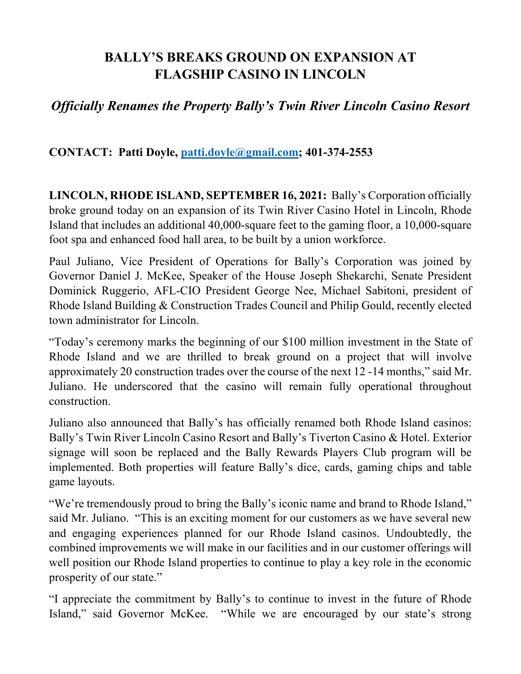## **BALLY'S BREAKS GROUND ON EXPANSION AT FLAGSHIP CASINO IN LINCOLN**

## *Officially Renames the Property Bally's Twin River Lincoln Casino Resort*

## **CONTACT: Patti Doyle, patti.doyle@gmail.com; 401-374-2553**

**LINCOLN, RHODE ISLAND, SEPTEMBER 16, 2021:** Bally's Corporation officially broke ground today on an expansion of its Twin River Casino Hotel in Lincoln, Rhode Island that includes an additional 40,000-square feet to the gaming floor, a 10,000-square foot spa and enhanced food hall area, to be built by a union workforce.

Paul Juliano, Vice President of Operations for Bally's Corporation was joined by Governor Daniel J. McKee, Speaker of the House Joseph Shekarchi, Senate President Dominick Ruggerio, AFL-CIO President George Nee, Michael Sabitoni, president of Rhode Island Building & Construction Trades Council and Philip Gould, recently elected town administrator for Lincoln.

"Today's ceremony marks the beginning of our \$100 million investment in the State of Rhode Island and we are thrilled to break ground on a project that will involve approximately 20 construction trades over the course of the next 12 -14 months," said Mr. Juliano. He underscored that the casino will remain fully operational throughout construction.

Juliano also announced that Bally's has officially renamed both Rhode Island casinos: Bally's Twin River Lincoln Casino Resort and Bally's Tiverton Casino & Hotel. Exterior signage will soon be replaced and the Bally Rewards Players Club program will be implemented. Both properties will feature Bally's dice, cards, gaming chips and table game layouts.

"We're tremendously proud to bring the Bally's iconic name and brand to Rhode Island," said Mr. Juliano. "This is an exciting moment for our customers as we have several new and engaging experiences planned for our Rhode Island casinos. Undoubtedly, the combined improvements we will make in our facilities and in our customer offerings will well position our Rhode Island properties to continue to play a key role in the economic prosperity of our state."

"I appreciate the commitment by Bally's to continue to invest in the future of Rhode Island," said Governor McKee. "While we are encouraged by our state's strong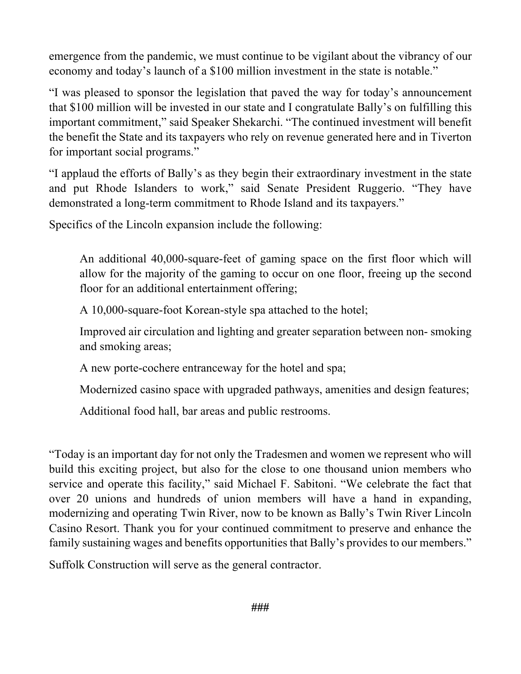emergence from the pandemic, we must continue to be vigilant about the vibrancy of our economy and today's launch of a \$100 million investment in the state is notable."

"I was pleased to sponsor the legislation that paved the way for today's announcement that \$100 million will be invested in our state and I congratulate Bally's on fulfilling this important commitment," said Speaker Shekarchi. "The continued investment will benefit the benefit the State and its taxpayers who rely on revenue generated here and in Tiverton for important social programs."

"I applaud the efforts of Bally's as they begin their extraordinary investment in the state and put Rhode Islanders to work," said Senate President Ruggerio. "They have demonstrated a long-term commitment to Rhode Island and its taxpayers."

Specifics of the Lincoln expansion include the following:

An additional 40,000-square-feet of gaming space on the first floor which will allow for the majority of the gaming to occur on one floor, freeing up the second floor for an additional entertainment offering;

A 10,000-square-foot Korean-style spa attached to the hotel;

Improved air circulation and lighting and greater separation between non- smoking and smoking areas;

A new porte-cochere entranceway for the hotel and spa;

Modernized casino space with upgraded pathways, amenities and design features;

Additional food hall, bar areas and public restrooms.

"Today is an important day for not only the Tradesmen and women we represent who will build this exciting project, but also for the close to one thousand union members who service and operate this facility," said Michael F. Sabitoni. "We celebrate the fact that over 20 unions and hundreds of union members will have a hand in expanding, modernizing and operating Twin River, now to be known as Bally's Twin River Lincoln Casino Resort. Thank you for your continued commitment to preserve and enhance the family sustaining wages and benefits opportunities that Bally's provides to our members."

Suffolk Construction will serve as the general contractor.